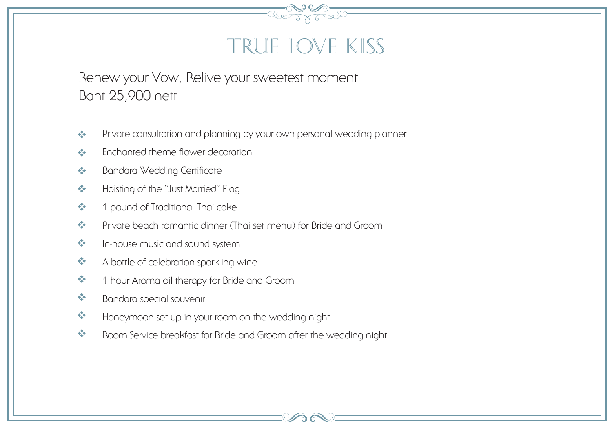### True Love Kiss

Renew your Vow, Relive your sweetest moment Baht 25,900 nett

- Private consultation and planning by your own personal wedding planner
- Enchanted theme flower decoration
- **Bandara Wedding Certificate**
- Hoisting of the "Just Married" Flag
- ❖ 1 pound of Traditional Thai cake
- Private beach romantic dinner (Thai set menu) for Bride and Groom
- $\bullet$  In-house music and sound system
- \* A bottle of celebration sparkling wine
- <sup>\*</sup> 1 hour Aroma oil therapy for Bride and Groom
- \* Bandara special souvenir
- \* Honeymoon set up in your room on the wedding night
- Room Service breakfast for Bride and Groom after the wedding night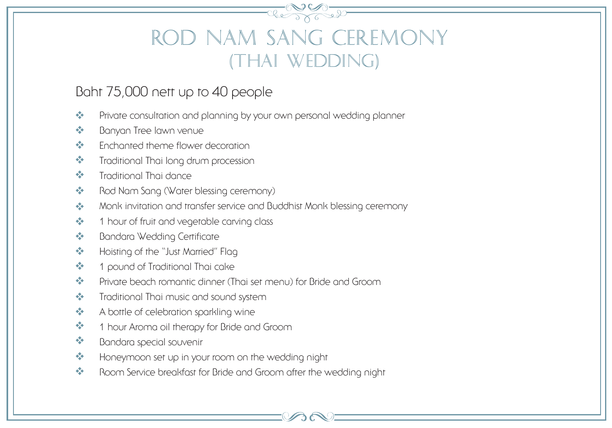# Rod Nam Sang Ceremony (Thai Wedding)

#### Baht 75,000 nett up to 40 people

- Private consultation and planning by your own personal wedding planner
- ❖ Banyan Tree lawn venue
- **\*** Enchanted theme flower decoration
- Traditional Thai long drum procession
- **\*** Traditional Thai dance
- Rod Nam Sang (Water blessing ceremony)
- **Monk invitation and transfer service and Buddhist Monk blessing ceremony**
- $\div$  1 hour of fruit and vegetable carving class
- **Bandara Wedding Certificate**
- ◆ Hoisting of the "Just Married" Flag
- ❖ 1 pound of Traditional Thai cake
- Private beach romantic dinner (Thai set menu) for Bride and Groom
- **\*** Traditional Thai music and sound system
- \* A bottle of celebration sparkling wine
- <sup>2</sup> 1 hour Aroma oil therapy for Bride and Groom
- \* Bandara special souvenir
- **Honeymoon set up in your room on the wedding night**
- Room Service breakfast for Bride and Groom after the wedding night